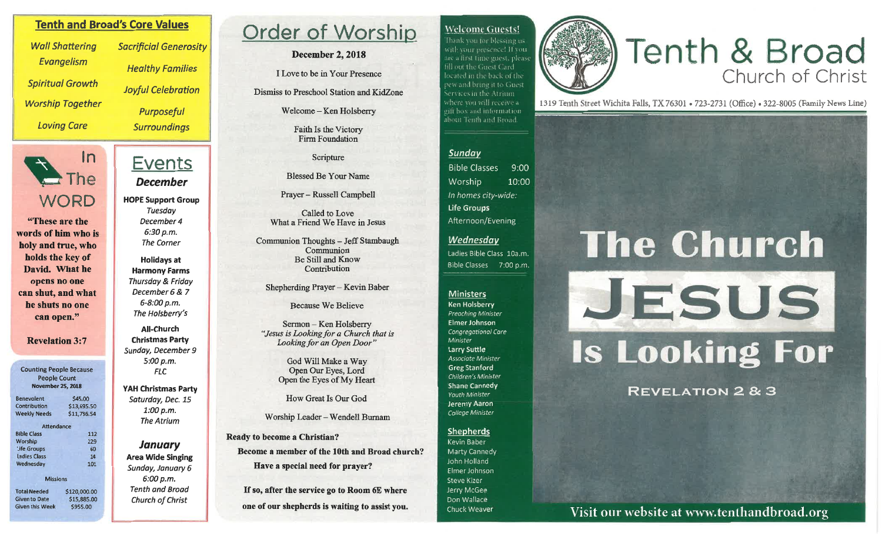### **Welcome Guests!**

Thank you for blessing uswith your presence! If you are a first time guest, please fill out the Guest Card located in the back of the pew and bring it to Guest. Services in the Atrium where you will receive a gilt box and information about Tenth and Broad.

# Tenth & Broad

1319 Tenth Street Wichita Falls, TX 76301 • 723-2731 (Office) • 322-8005 (Family News Line)

#### Sunday

**Bible Classes**  $9:00$ Worship 10:00 In homes city-wide: **Life Groups** Afternoon/Evening

# Wednesday

Ladies Bible Class 10a.m. **Bible Classes** 7:00 p.m.

#### **Ministers**

**Ken Holsberry** Preaching Minister Elmer Johnson Congregational Care Minister Larry Suttle Associate Minister **Greg Stanford** Children's Minister **Shane Cannedy** Youth Minister **Jeremy Aaron** College Minister

#### **Shepherds**

Kevin Baber Marty Cannedy John Holland Elmer Johnson Steve Kizer Jerry McGee Don Wallace Chuck Weaver

# **The Church** JESUS **Is Looking For**

**REVELATION 2 & 3** 

Visit our website at www.tenthandbroad.org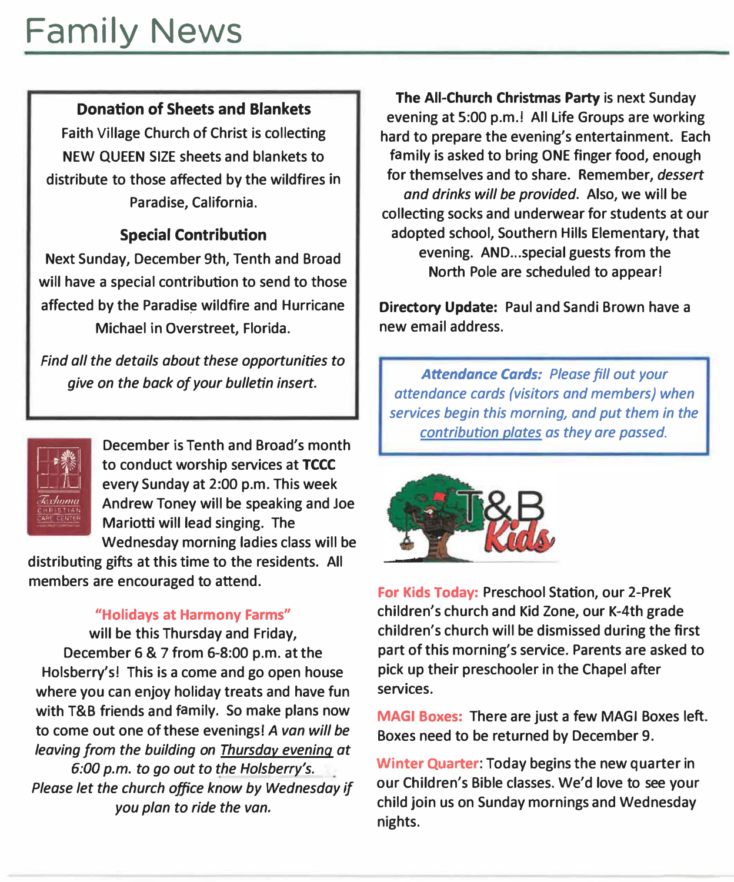#### **Donation of Sheets and Blankets**

**Faith Village Church of Christ is collecting NEW QUEEN SIZE sheets and blankets to distribute to those affected by the wildfires in Paradise, California.** 

#### **Special Contribution**

**Next Sunday, December 9th, Tenth and Broad will have a special contribution to send to those affected by the Paradis� wildfire and Hurricane Michael in Overstreet, Florida.** 

*Find all the details about these opportunities to give on the back of your bulletin insert.* 



**December is Tenth and Bread's month to conduct worship services at TCCC every Sunday at 2:00 p.m. This week Andrew Toney will be speaking and Joe Mariotti will lead singing. The Wednesday morning ladies class will be** 

**distributing gifts at this time to the residents. All members are encouraged to attend.** 

#### **"Holidays at Harmony Farms"**

**will be this Thursday and Friday, December 6 & 7 from 6-8:00 p.m. at the Holsberry's! This is a come and go open house where you can enjoy holiday treats and have fun with T&B friends and family. So make plans now to come out one of these evenings!** *A van will be leaving from the building on Thursday evening at 6:00 p.m. to go out to the Holsberry's. Please let the church office know by Wednesday if you plan to ride the van.* 

**The All-Church Christmas Party is next Sunday evening at 5:00 p.m.! All Life Groups are working hard to prepare the evening's entertainment. Each family is asked to bring ONE finger food, enough for themselves and to share. Remember,** *dessert and drinks will be provided.* **Also, we will be collecting socks and underwear for students at our adopted school, Southern Hills Elementary, that evening. AND ... special guests from the North Pole are scheduled to appear!** 

**Directory Update: Paul and Sandi Brown have a new email address.** 

*Attendance Cards: Please fill out your attendance cards (visitors and members) when services begin this morning, and put them in the contribution plates as they are passed.* 



**For Kids Today: Preschool Station, our 2-PreK children's church and Kid Zone, our K-4th grade children's church will be dismissed during the first part of this morning's service. Parents are asked to pick up their preschooler in the Chapel after services.** 

**MAGI Boxes: There are just a few MAGI Boxes left. Boxes need to be returned by December 9.** 

**Winter Quarter: Today begins the new quarter in our Children's Bible classes. We'd love to see your child join us on Sunday mornings and Wednesday nights.**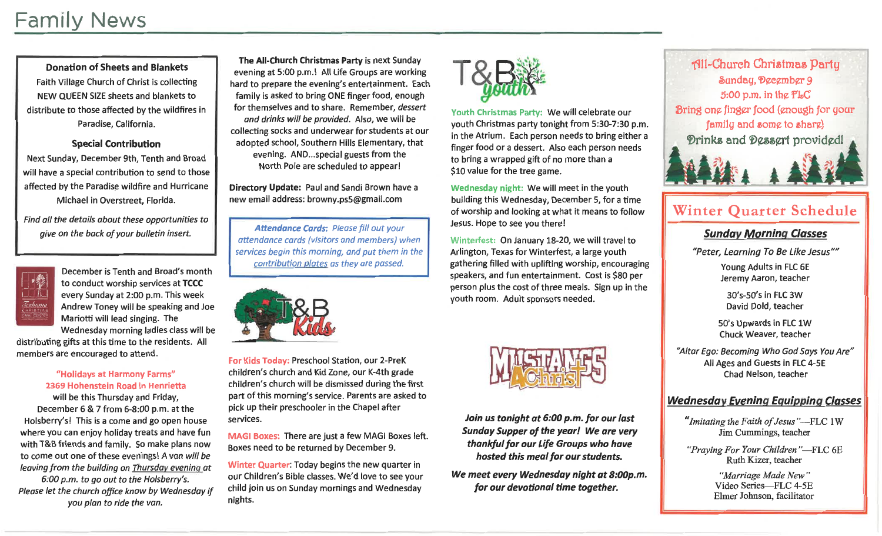

Youth Christmas Party: We will celebrate our youth Christmas party tonight from 5:30-7:30 p.m. in the Atrium. Each person needs to bring either a finger food or a dessert. Also each person needs to bring a wrapped gift of no more than a \$10 value for the tree game.

Wednesday night: We will meet in the youth building this Wednesday, December 5, for a time of worship and looking at what it means to follow Jesus. Hope to see you there!

Winterfest: On January 18-20, we will travel to Arlington, Texas for Winterfest, a large youth gathering filled with uplifting worship, encouraging speakers, and fun entertainment. Cost is \$80 per person plus the cost of three meals. Sign up in the youth room. Adult sponsors needed.



Join us tonight at 6:00 p.m. for our last Sunday Supper of the year! We are very thankful for our Life Groups who have hosted this meal for our students.

We meet every Wednesday night at 8:00p.m. for our devotional time together.



# Winter Quarter Schedule

## **Sunday Morning Classes**

"Peter, Learning To Be Like Jesus""

Young Adults in FLC 6E Jeremy Aaron, teacher

30's-50's in FLC 3W David Dold, teacher

50's Upwards in FLC 1W Chuck Weaver, teacher

"Altar Ego: Becoming Who God Says You Are" All Ages and Guests in FLC 4-5E Chad Nelson, teacher

## **Wednesday Evening Equipping Classes**

"Imitating the Faith of Jesus"-FLC 1W Jim Cummings, teacher

"Praying For Your Children"-FLC 6E Ruth Kizer, teacher

> "Marriage Made New" Video Series-FLC 4-5E Elmer Johnson, facilitator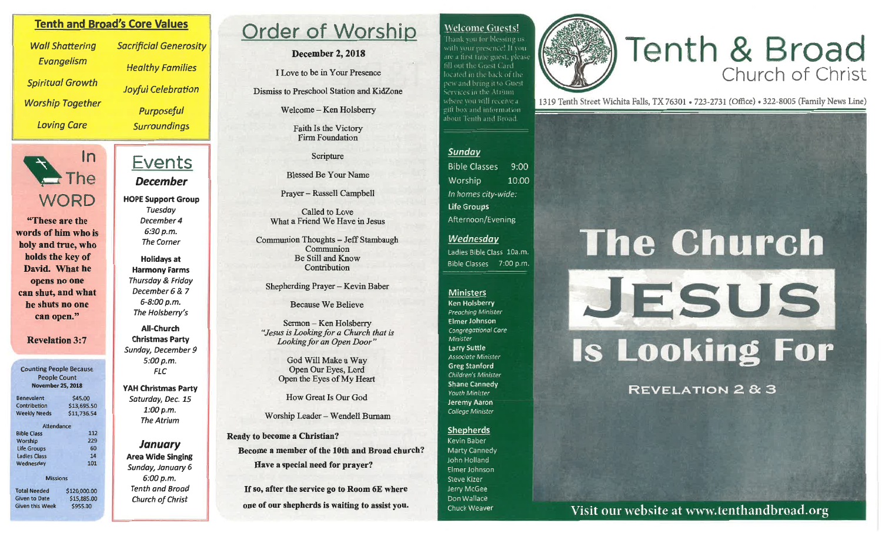#### **Tenth and Broad's Core Values**

**Wall Shattering** Evangelism **Spiritual Growth Worship Together Loving Care** 



"These are the words of him who is holy and true, who holds the key of David. What he opens no one can shut, and what he shuts no one can open."

#### **Revelation 3:7**

**Counting People Because People Count November 25, 2018** 

| <b>Benevolent</b>   | \$45.00     |
|---------------------|-------------|
| Contribution        | \$13,695.50 |
| <b>Weekly Needs</b> | \$11,736.54 |
| <b>Attendance</b>   |             |
| <b>Bible Class</b>  | 112         |
| Worship             | 229         |
| <b>Life Groups</b>  | 60          |
| <b>Ladies Class</b> | 14          |
| Wednesday           | 101         |
| <b>Missions</b>     |             |
|                     |             |

**Total Needed** \$120,000.00 **Given to Date** \$15,885.00 **Given this Week** \$955.00

**Sacrificial Generosity Healthy Families Joyful Celebration** Purposeful **Surroundings** 

# Events **December**

**HOPE Support Group** Tuesday December 4 6:30 p.m. **The Corner** 

**Holidays at Harmony Farms** Thursday & Friday December 6 & 7 6-8:00 p.m. The Holsberry's

**All-Church Christmas Party** Sunday, December 9 5:00 p.m. **FLC** 

**YAH Christmas Party** Saturday, Dec. 15  $1:00 p.m.$ **The Atrium** 

**January Area Wide Singing** Sunday, January 6  $6:00 p.m.$ **Tenth and Broad Church of Christ** 

# Order of Worship

**December 2, 2018** 

I Love to be in Your Presence

Dismiss to Preschool Station and KidZone

Welcome - Ken Holsberry

Faith Is the Victory Firm Foundation

Scripture

**Blessed Be Your Name** 

Prayer – Russell Campbell

Called to Love What a Friend We Have in Jesus

Communion Thoughts - Jeff Stambaugh Communion Be Still and Know Contribution

Shepherding Prayer - Kevin Baber

**Because We Believe** 

Sermon - Ken Holsberry "Jesus is Looking for a Church that is Looking for an Open Door"

> God Will Make a Way Open Our Eyes, Lord Open the Eyes of My Heart

How Great Is Our God

Worship Leader - Wendell Burnam

**Ready to become a Christian?** Become a member of the 10th and Broad church? Have a special need for prayer?

If so, after the service go to Room 6E where one of our shepherds is waiting to assist you.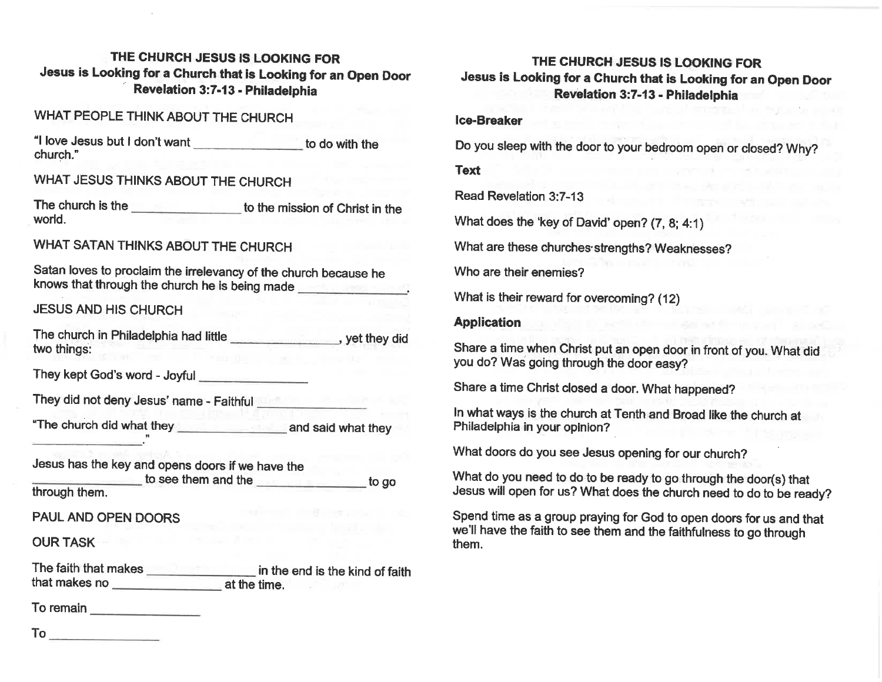# THE CHURCH JESUS IS LOOKING FOR Jesus is Looking for a Church that is Looking for an Open Door Revelation 3:7-13 - Philadelphia

| "I love Jesus but I don't want ___________________ to do with the                                                                           |
|---------------------------------------------------------------------------------------------------------------------------------------------|
|                                                                                                                                             |
| The church is the ______________________ to the mission of Christ in the                                                                    |
|                                                                                                                                             |
| Satan loves to proclaim the irrelevancy of the church because he<br>knows that through the church he is being made                          |
|                                                                                                                                             |
| The church in Philadelphia had little _______________, yet they did<br>King the contract of the property of the contract of                 |
|                                                                                                                                             |
| They did not deny Jesus' name - Faithful <b>They</b> did not deny Jesus' name - Faithful                                                    |
|                                                                                                                                             |
| Jesus has the key and opens doors if we have the<br>to see them and the <b>the contract of the seed of the contract of the second to go</b> |
| <b>PAUL AND OPEN DOORS</b>                                                                                                                  |
| <b>Contract Andrew</b>                                                                                                                      |
| The faith that makes ________________________ in the end is the kind of faith                                                               |
|                                                                                                                                             |

 $To$ <sub>---</sub>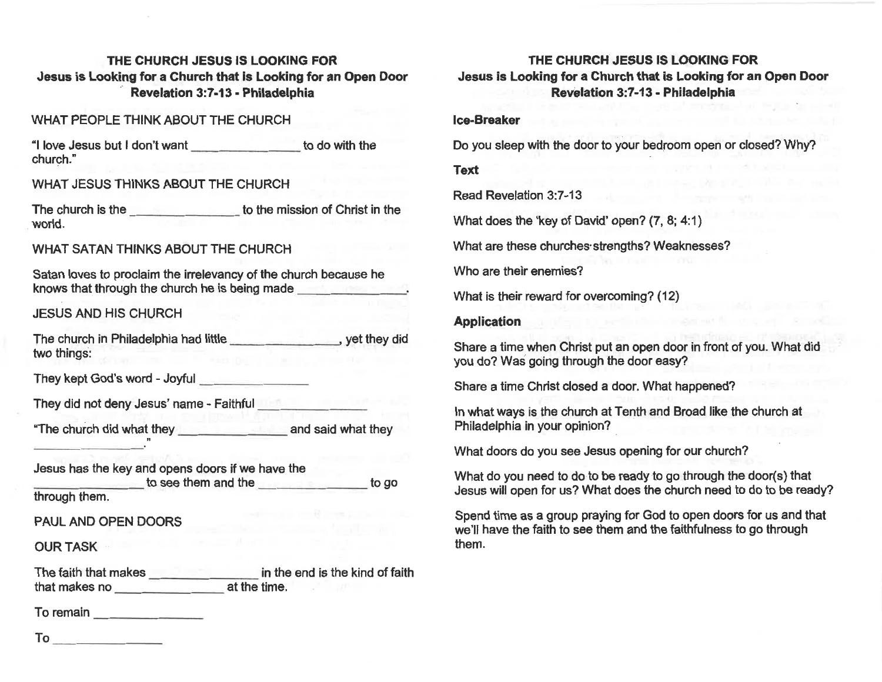#### THE CHURCH JESUS IS LOOKING FOR Jesus is Looking for a Church that is Looking for an Open Door Revelation 3:7-13 - Philadelphia

#### **Ice-Breaker**

Do you sleep with the door to your bedroom open or closed? Why?

#### **Text**

**Read Revelation 3:7-13** 

What does the 'key of David' open? (7, 8; 4:1)

What are these churches strengths? Weaknesses?

Who are their enemies?

What is their reward for overcoming? (12)

#### **Application**

Share a time when Christ put an open door in front of you. What did you do? Was going through the door easy?

Share a time Christ closed a door. What happened?

In what ways is the church at Tenth and Broad like the church at Philadelphia in your opinion?

What doors do you see Jesus opening for our church?

What do you need to do to be ready to go through the door(s) that Jesus will open for us? What does the church need to do to be ready?

Spend time as a group praying for God to open doors for us and that we'll have the faith to see them and the faithfulness to go through them.